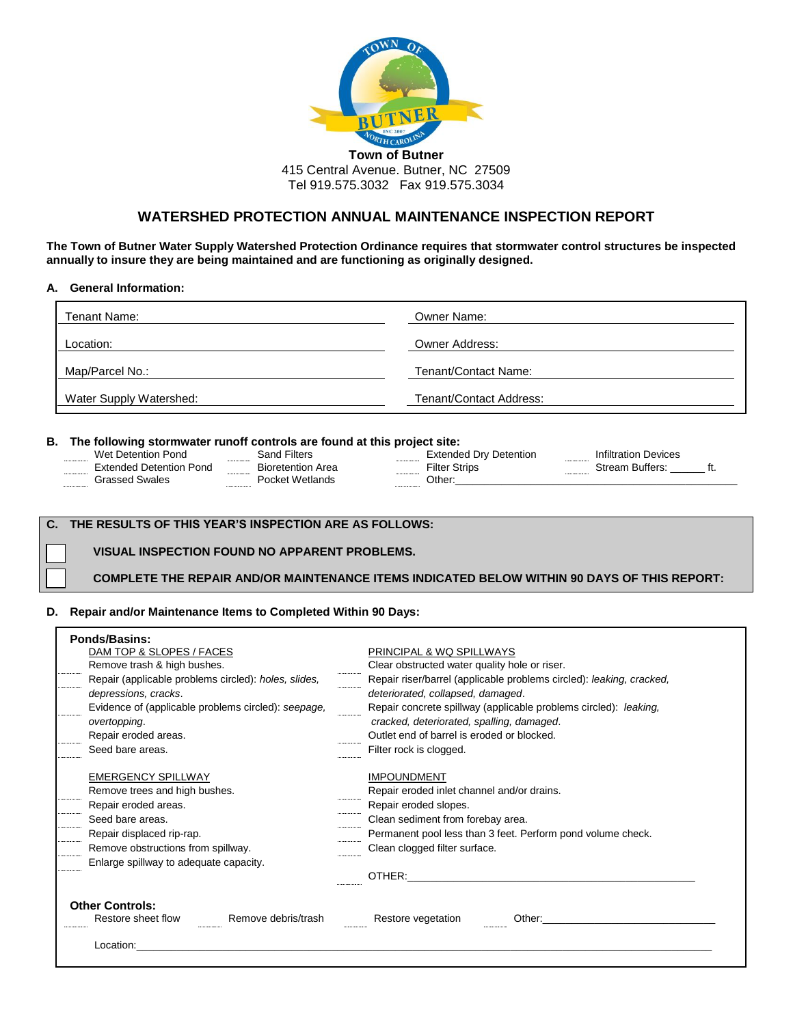

## **WATERSHED PROTECTION ANNUAL MAINTENANCE INSPECTION REPORT**

**The Town of Butner Water Supply Watershed Protection Ordinance requires that stormwater control structures be inspected annually to insure they are being maintained and are functioning as originally designed.**

#### **A. General Information:**

| Tenant Name:            | Owner Name:             |  |  |
|-------------------------|-------------------------|--|--|
| Location:               | <b>Owner Address:</b>   |  |  |
| Map/Parcel No.:         | Tenant/Contact Name:    |  |  |
| Water Supply Watershed: | Tenant/Contact Address: |  |  |

# **B. The following stormwater runoff controls are found at this project site:**<br>Wet Detention Pond<br>Extende

| The following stormwatch ranon controls are found at this project site. |                          |                        |                             |  |
|-------------------------------------------------------------------------|--------------------------|------------------------|-----------------------------|--|
| Wet Detention Pond                                                      | Sand Filters             | Extended Dry Detention | <b>Infiltration Devices</b> |  |
| Extended Detention Pond                                                 | <b>Bioretention Area</b> | <b>Filter Strips</b>   | Stream Buffers:             |  |
| <b>Grassed Swales</b>                                                   | Pocket Wetlands          | Other:                 |                             |  |
|                                                                         |                          |                        |                             |  |

#### **C. THE RESULTS OF THIS YEAR'S INSPECTION ARE AS FOLLOWS:**

### **VISUAL INSPECTION FOUND NO APPARENT PROBLEMS.**

**COMPLETE THE REPAIR AND/OR MAINTENANCE ITEMS INDICATED BELOW WITHIN 90 DAYS OF THIS REPORT:**

#### **D. Repair and/or Maintenance Items to Completed Within 90 Days:**

| <b>Ponds/Basins:</b>                                 |                                                                      |
|------------------------------------------------------|----------------------------------------------------------------------|
| DAM TOP & SLOPES / FACES                             | PRINCIPAL & WQ SPILLWAYS                                             |
| Remove trash & high bushes.                          | Clear obstructed water quality hole or riser.                        |
| Repair (applicable problems circled): holes, slides, | Repair riser/barrel (applicable problems circled): leaking, cracked, |
| depressions, cracks.                                 | deteriorated, collapsed, damaged.                                    |
| Evidence of (applicable problems circled): seepage,  | Repair concrete spillway (applicable problems circled): leaking,     |
| overtopping.                                         | cracked, deteriorated, spalling, damaged.                            |
| Repair eroded areas.                                 | Outlet end of barrel is eroded or blocked.                           |
| Seed bare areas.                                     | Filter rock is clogged.                                              |
| <b>EMERGENCY SPILLWAY</b>                            | <b>IMPOUNDMENT</b>                                                   |
| Remove trees and high bushes.                        | Repair eroded inlet channel and/or drains.                           |
| Repair eroded areas.                                 | Repair eroded slopes.                                                |
| Seed bare areas.                                     | Clean sediment from forebay area.                                    |
| Repair displaced rip-rap.                            | Permanent pool less than 3 feet. Perform pond volume check.          |
| Remove obstructions from spillway.                   | Clean clogged filter surface.                                        |
| Enlarge spillway to adequate capacity.               |                                                                      |
|                                                      | OTHER:                                                               |
| <b>Other Controls:</b>                               |                                                                      |
| Restore sheet flow<br>Remove debris/trash            | Restore vegetation<br>Other:                                         |
| Location:                                            |                                                                      |
|                                                      |                                                                      |